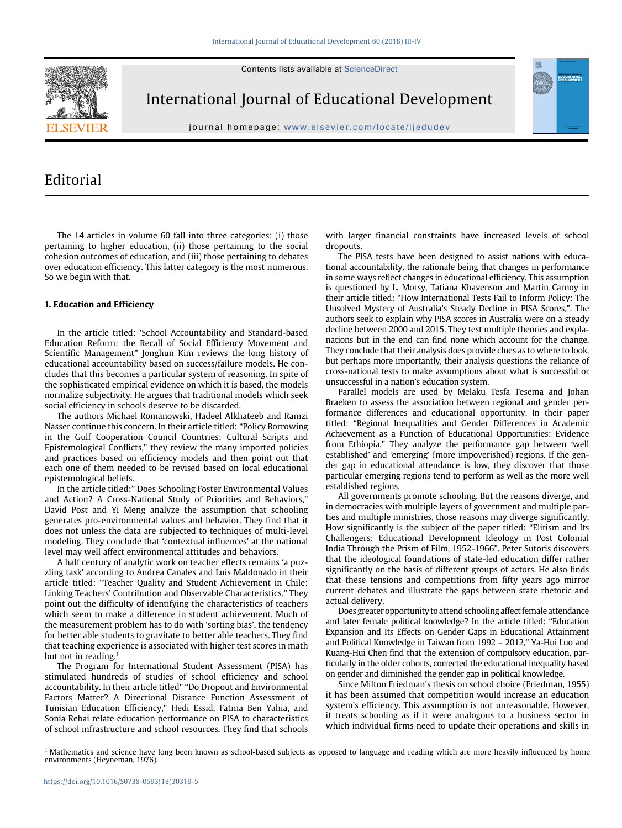Contents lists available at ScienceDirect



International Journal of Educational Development

journal homepage: www.elsevier.com/locate/ijedudev

# Editorial

The 14 articles in volume 60 fall into three categories: (i) those pertaining to higher education, (ii) those pertaining to the social cohesion outcomes of education, and (iii) those pertaining to debates over education efficiency. This latter category is the most numerous. So we begin with that.

## **1. Education and Efficiency**

In the article titled: 'School Accountability and Standard-based Education Reform: the Recall of Social Efficiency Movement and Scientific Management" Jonghun Kim reviews the long history of educational accountability based on success/failure models. He concludes that this becomes a particular system of reasoning. In spite of the sophisticated empirical evidence on which it is based, the models normalize subjectivity. He argues that traditional models which seek social efficiency in schools deserve to be discarded.

The authors Michael Romanowski, Hadeel Alkhateeb and Ramzi Nasser continue this concern. In their article titled: "Policy Borrowing in the Gulf Cooperation Council Countries: Cultural Scripts and Epistemological Conflicts," they review the many imported policies and practices based on efficiency models and then point out that each one of them needed to be revised based on local educational epistemological beliefs.

In the article titled:" Does Schooling Foster Environmental Values and Action? A Cross-National Study of Priorities and Behaviors," David Post and Yi Meng analyze the assumption that schooling generates pro-environmental values and behavior. They find that it does not unless the data are subjected to techniques of multi-level modeling. They conclude that 'contextual influences' at the national level may well affect environmental attitudes and behaviors.

A half century of analytic work on teacher effects remains 'a puzzling task' according to Andrea Canales and Luis Maldonado in their article titled: "Teacher Quality and Student Achievement in Chile: Linking Teachers' Contribution and Observable Characteristics." They point out the difficulty of identifying the characteristics of teachers which seem to make a difference in student achievement. Much of the measurement problem has to do with 'sorting bias', the tendency for better able students to gravitate to better able teachers. They find that teaching experience is associated with higher test scores in math but not in reading.<sup>1</sup>

The Program for International Student Assessment (PISA) has stimulated hundreds of studies of school efficiency and school accountability. In their article titled" "Do Dropout and Environmental Factors Matter? A Directional Distance Function Assessment of Tunisian Education Efficiency," Hedi Essid, Fatma Ben Yahia, and Sonia Rebai relate education performance on PISA to characteristics of school infrastructure and school resources. They find that schools with larger financial constraints have increased levels of school dropouts.

The PISA tests have been designed to assist nations with educational accountability, the rationale being that changes in performance in some ways reflect changes in educational efficiency. This assumption is questioned by L. Morsy, Tatiana Khavenson and Martin Carnoy in their article titled: "How International Tests Fail to Inform Policy: The Unsolved Mystery of Australia's Steady Decline in PISA Scores,". The authors seek to explain why PISA scores in Australia were on a steady decline between 2000 and 2015. They test multiple theories and explanations but in the end can find none which account for the change. They conclude that their analysis does provide clues as to where to look, but perhaps more importantly, their analysis questions the reliance of cross-national tests to make assumptions about what is successful or unsuccessful in a nation's education system.

Parallel models are used by Melaku Tesfa Tesema and Johan Braeken to assess the association between regional and gender performance differences and educational opportunity. In their paper titled: "Regional Inequalities and Gender Differences in Academic Achievement as a Function of Educational Opportunities: Evidence from Ethiopia." They analyze the performance gap between 'well established' and 'emerging' (more impoverished) regions. If the gender gap in educational attendance is low, they discover that those particular emerging regions tend to perform as well as the more well established regions.

All governments promote schooling. But the reasons diverge, and in democracies with multiple layers of government and multiple parties and multiple ministries, those reasons may diverge significantly. How significantly is the subject of the paper titled: "Elitism and Its Challengers: Educational Development Ideology in Post Colonial India Through the Prism of Film, 1952-1966". Peter Sutoris discovers that the ideological foundations of state-led education differ rather significantly on the basis of different groups of actors. He also finds that these tensions and competitions from fifty years ago mirror current debates and illustrate the gaps between state rhetoric and actual delivery.

Does greater opportunity to attend schooling affect female attendance and later female political knowledge? In the article titled: "Education Expansion and Its Effects on Gender Gaps in Educational Attainment and Political Knowledge in Taiwan from 1992 – 2012," Ya-Hui Luo and Kuang-Hui Chen find that the extension of compulsory education, particularly in the older cohorts, corrected the educational inequality based on gender and diminished the gender gap in political knowledge.

Since Milton Friedman's thesis on school choice (Friedman, 1955) it has been assumed that competition would increase an education system's efficiency. This assumption is not unreasonable. However, it treats schooling as if it were analogous to a business sector in which individual firms need to update their operations and skills in

<sup>1</sup> Mathematics and science have long been known as school-based subjects as opposed to language and reading which are more heavily influenced by home environments (Heyneman, 1976).